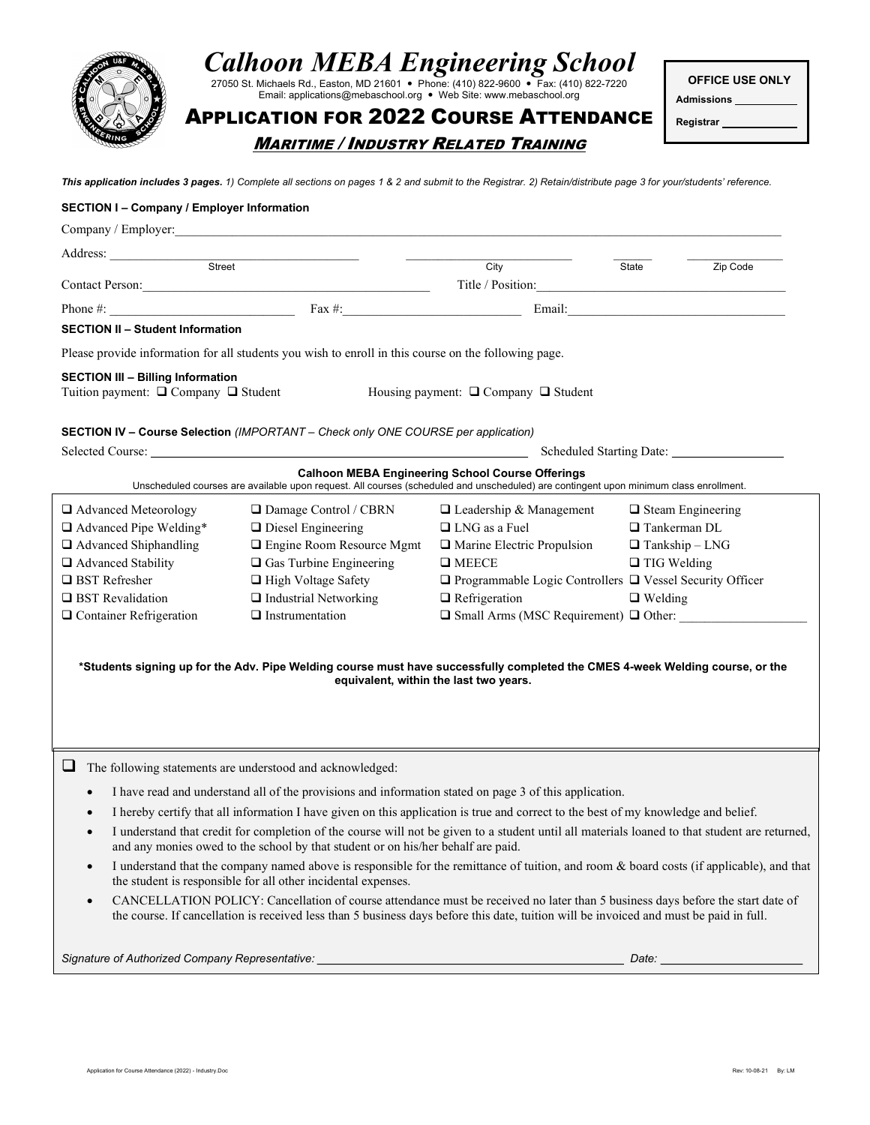

# Calhoon MEBA Engineering School

27050 St. Michaels Rd., Easton, MD 21601 Phone: (410) 822-9600 Fax: (410) 822-7220 Email: applications@mebaschool.org . Web Site: www.mebaschool.org

OFFICE USE ONLY

Registrar

Admissions

APPLICATION FOR 2022 COURSE ATTENDANCE MARITIME / INDUSTRY RELATED TRAINING

This application includes 3 pages. 1) Complete all sections on pages 1 & 2 and submit to the Registrar. 2) Retain/distribute page 3 for your/students' reference.

#### SECTION I – Company / Employer Information

|                                                                                  |                                                                                                      | City                                                                                                                                                                                                                                                                     | State                    | Zip Code                                                                                                                                                                                                                       |  |  |
|----------------------------------------------------------------------------------|------------------------------------------------------------------------------------------------------|--------------------------------------------------------------------------------------------------------------------------------------------------------------------------------------------------------------------------------------------------------------------------|--------------------------|--------------------------------------------------------------------------------------------------------------------------------------------------------------------------------------------------------------------------------|--|--|
|                                                                                  |                                                                                                      | Title / Position:                                                                                                                                                                                                                                                        |                          |                                                                                                                                                                                                                                |  |  |
|                                                                                  | Phone $\#$ : Fax $\#$ :                                                                              |                                                                                                                                                                                                                                                                          |                          |                                                                                                                                                                                                                                |  |  |
| <b>SECTION II - Student Information</b>                                          |                                                                                                      |                                                                                                                                                                                                                                                                          |                          |                                                                                                                                                                                                                                |  |  |
|                                                                                  | Please provide information for all students you wish to enroll in this course on the following page. |                                                                                                                                                                                                                                                                          |                          |                                                                                                                                                                                                                                |  |  |
| <b>SECTION III - Billing Information</b><br>Tuition payment: □ Company □ Student |                                                                                                      | Housing payment: $\Box$ Company $\Box$ Student                                                                                                                                                                                                                           |                          |                                                                                                                                                                                                                                |  |  |
|                                                                                  | SECTION IV - Course Selection (IMPORTANT - Check only ONE COURSE per application)                    |                                                                                                                                                                                                                                                                          |                          |                                                                                                                                                                                                                                |  |  |
| Selected Course:                                                                 |                                                                                                      | Scheduled Starting Date: 2008. [1]                                                                                                                                                                                                                                       |                          |                                                                                                                                                                                                                                |  |  |
|                                                                                  |                                                                                                      | <b>Calhoon MEBA Engineering School Course Offerings</b><br>Unscheduled courses are available upon request. All courses (scheduled and unscheduled) are contingent upon minimum class enrollment.                                                                         |                          |                                                                                                                                                                                                                                |  |  |
| Advanced Meteorology                                                             | □ Damage Control / CBRN                                                                              | $\Box$ Leadership & Management                                                                                                                                                                                                                                           | $\Box$ Steam Engineering |                                                                                                                                                                                                                                |  |  |
| Advanced Pipe Welding*                                                           | $\Box$ Diesel Engineering                                                                            | $\Box$ LNG as a Fuel                                                                                                                                                                                                                                                     | $\Box$ Tankerman DL      |                                                                                                                                                                                                                                |  |  |
| Advanced Shiphandling                                                            | □ Engine Room Resource Mgmt                                                                          | Marine Electric Propulsion                                                                                                                                                                                                                                               | $\Box$ Tankship - LNG    |                                                                                                                                                                                                                                |  |  |
| Advanced Stability                                                               | $\Box$ Gas Turbine Engineering                                                                       | $\Box$ MEECE                                                                                                                                                                                                                                                             | $\Box$ TIG Welding       |                                                                                                                                                                                                                                |  |  |
| $\Box$ BST Refresher                                                             | High Voltage Safety                                                                                  | $\Box$ Programmable Logic Controllers $\Box$ Vessel Security Officer                                                                                                                                                                                                     |                          |                                                                                                                                                                                                                                |  |  |
| $\Box$ BST Revalidation                                                          | $\Box$ Industrial Networking                                                                         | $\Box$ Refrigeration                                                                                                                                                                                                                                                     | $\Box$ Welding           |                                                                                                                                                                                                                                |  |  |
| □ Container Refrigeration                                                        | $\Box$ Instrumentation                                                                               | $\Box$ Small Arms (MSC Requirement) $\Box$ Other:                                                                                                                                                                                                                        |                          |                                                                                                                                                                                                                                |  |  |
|                                                                                  |                                                                                                      | *Students signing up for the Adv. Pipe Welding course must have successfully completed the CMES 4-week Welding course, or the<br>equivalent, within the last two years.                                                                                                  |                          |                                                                                                                                                                                                                                |  |  |
| $\Box$                                                                           | The following statements are understood and acknowledged:                                            |                                                                                                                                                                                                                                                                          |                          |                                                                                                                                                                                                                                |  |  |
|                                                                                  |                                                                                                      | I have read and understand all of the provisions and information stated on page 3 of this application.                                                                                                                                                                   |                          |                                                                                                                                                                                                                                |  |  |
|                                                                                  |                                                                                                      | I hereby certify that all information I have given on this application is true and correct to the best of my knowledge and belief.                                                                                                                                       |                          |                                                                                                                                                                                                                                |  |  |
|                                                                                  | and any monies owed to the school by that student or on his/her behalf are paid.                     | I understand that credit for completion of the course will not be given to a student until all materials loaned to that student are returned,                                                                                                                            |                          |                                                                                                                                                                                                                                |  |  |
| $\bullet$                                                                        | the student is responsible for all other incidental expenses.                                        | I understand that the company named above is responsible for the remittance of tuition, and room & board costs (if applicable), and that                                                                                                                                 |                          |                                                                                                                                                                                                                                |  |  |
| $\bullet$                                                                        |                                                                                                      | CANCELLATION POLICY: Cancellation of course attendance must be received no later than 5 business days before the start date of<br>the course. If cancellation is received less than 5 business days before this date, tuition will be invoiced and must be paid in full. |                          |                                                                                                                                                                                                                                |  |  |
|                                                                                  | Signature of Authorized Company Representative: ________________________________                     |                                                                                                                                                                                                                                                                          |                          | Date: the contract of the contract of the contract of the contract of the contract of the contract of the contract of the contract of the contract of the contract of the contract of the contract of the contract of the cont |  |  |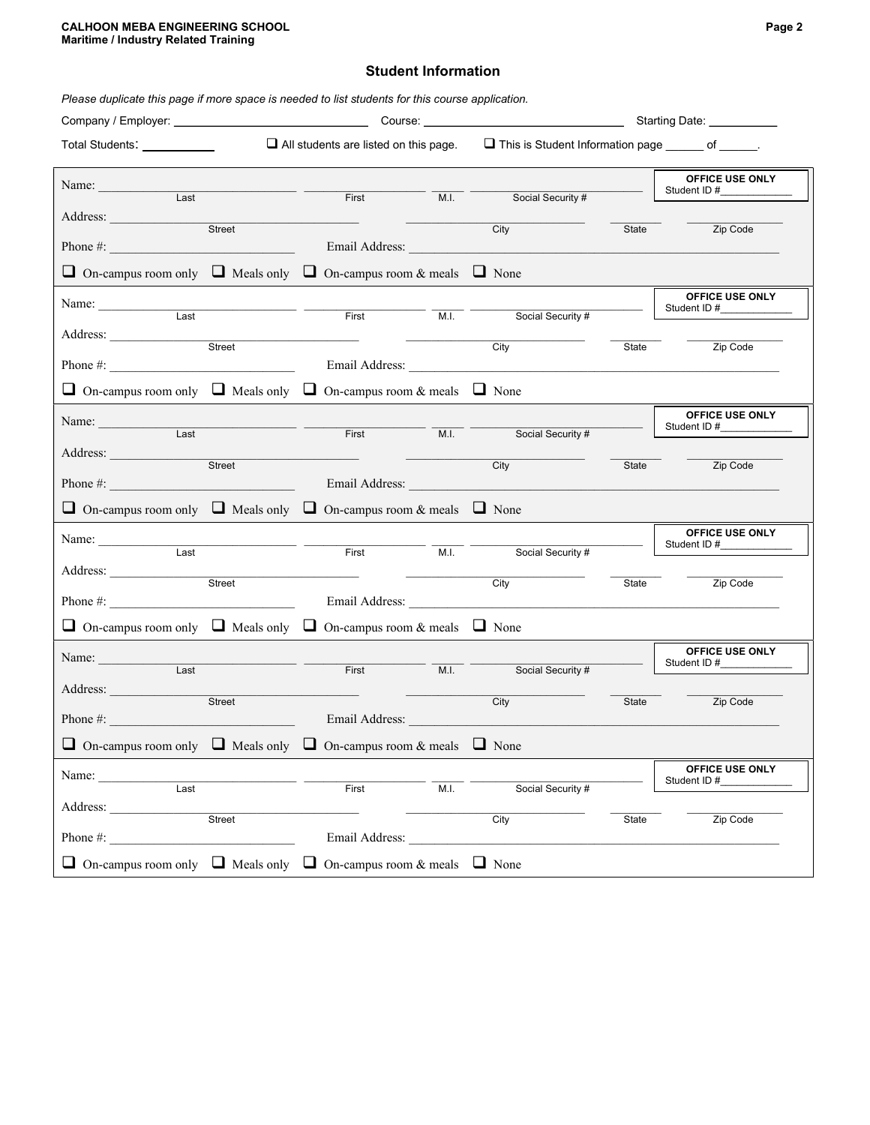#### CALHOON MEBA ENGINEERING SCHOOL Page 2 Maritime / Industry Related Training

#### Student Information

| Please duplicate this page if more space is needed to list students for this course application. |                                              |                |      |                                                                                                                                                                                                                                                     |       |                                   |  |
|--------------------------------------------------------------------------------------------------|----------------------------------------------|----------------|------|-----------------------------------------------------------------------------------------------------------------------------------------------------------------------------------------------------------------------------------------------------|-------|-----------------------------------|--|
|                                                                                                  | Starting Date: __________                    |                |      |                                                                                                                                                                                                                                                     |       |                                   |  |
| Total Students: Total Students                                                                   | $\Box$ All students are listed on this page. |                |      | This is Student Information page ______ of ______.                                                                                                                                                                                                  |       |                                   |  |
| Name:                                                                                            |                                              |                |      |                                                                                                                                                                                                                                                     |       | OFFICE USE ONLY<br>Student ID #__ |  |
| Last                                                                                             |                                              | First          |      | Social Security #<br>M.I. The contract of the contract of the contract of the contract of the contract of the contract of the contract of the contract of the contract of the contract of the contract of the contract of the contract of the contr |       |                                   |  |
| Address:                                                                                         | Street                                       |                |      | City                                                                                                                                                                                                                                                | State | Zip Code                          |  |
| Phone $\#$ :                                                                                     |                                              |                |      | Email Address: The Contract of the Contract of the Contract of the Contract of the Contract of the Contract of the Contract of the Contract of the Contract of the Contract of the Contract of the Contract of the Contract of                      |       |                                   |  |
| $\Box$ On-campus room only $\Box$ Meals only $\Box$ On-campus room & meals $\Box$ None           |                                              |                |      |                                                                                                                                                                                                                                                     |       |                                   |  |
| Name: $\frac{1}{\sqrt{1-\frac{1}{2}}\cdot\frac{1}{2}}$                                           |                                              |                |      |                                                                                                                                                                                                                                                     |       | OFFICE USE ONLY<br>Student ID #   |  |
| $\overline{Last}$                                                                                |                                              | First          | M.I. | Social Security #                                                                                                                                                                                                                                   |       |                                   |  |
|                                                                                                  | Street                                       |                |      | City                                                                                                                                                                                                                                                | State | Zip Code                          |  |
|                                                                                                  |                                              |                |      | Email Address: No. 1996. The Contract of the Contract of the Contract of the Contract of the Contract of the Contract of the Contract of the Contract of the Contract of the Contract of the Contract of the Contract of the C                      |       |                                   |  |
| $\Box$ On-campus room only $\Box$ Meals only $\Box$ On-campus room & meals $\Box$ None           |                                              |                |      |                                                                                                                                                                                                                                                     |       |                                   |  |
| Name: $\frac{1}{\sqrt{1-\frac{1}{2}}\cdot\frac{1}{2}}$                                           |                                              |                |      |                                                                                                                                                                                                                                                     |       | OFFICE USE ONLY<br>Student ID #   |  |
| $\overline{Last}$                                                                                |                                              | First          |      | M.I.<br>Social Security #                                                                                                                                                                                                                           |       |                                   |  |
| Address:                                                                                         | Street                                       |                |      | City                                                                                                                                                                                                                                                | State | Zip Code                          |  |
| Phone $\#$ :                                                                                     |                                              |                |      |                                                                                                                                                                                                                                                     |       |                                   |  |
| $\Box$ On-campus room only $\Box$ Meals only $\Box$ On-campus room & meals $\Box$ None           |                                              |                |      |                                                                                                                                                                                                                                                     |       |                                   |  |
| Name: $\frac{1}{\sqrt{1-\frac{1}{2}}\cdot\frac{1}{2}}$                                           |                                              |                |      |                                                                                                                                                                                                                                                     |       | OFFICE USE ONLY<br>Student ID #   |  |
| Last                                                                                             |                                              | First          | M.I. | Social Security #                                                                                                                                                                                                                                   |       |                                   |  |
| Address:                                                                                         | Street                                       |                |      | City                                                                                                                                                                                                                                                | State | Zip Code                          |  |
| Phone #: $\qquad \qquad$                                                                         |                                              |                |      |                                                                                                                                                                                                                                                     |       |                                   |  |
| $\Box$ On-campus room only $\Box$ Meals only $\Box$ On-campus room & meals $\Box$ None           |                                              |                |      |                                                                                                                                                                                                                                                     |       |                                   |  |
| Name: $\frac{1}{\sqrt{1-\frac{1}{2}}\cdot\frac{1}{2}}$                                           |                                              |                |      |                                                                                                                                                                                                                                                     |       | OFFICE USE ONLY                   |  |
| Last                                                                                             |                                              | First          | M.I. | Social Security #                                                                                                                                                                                                                                   |       | Student ID #                      |  |
| Address:                                                                                         | <b>Street</b>                                |                |      | City                                                                                                                                                                                                                                                | State | Zip Code                          |  |
| Phone#:                                                                                          |                                              | Email Address: |      |                                                                                                                                                                                                                                                     |       |                                   |  |
| $\Box$ On-campus room only $\Box$ Meals only $\Box$ On-campus room & meals $\Box$ None           |                                              |                |      |                                                                                                                                                                                                                                                     |       |                                   |  |
| Name: $\frac{1}{\sqrt{1-\frac{1}{2}} \cdot \frac{1}{2}}$                                         |                                              |                |      |                                                                                                                                                                                                                                                     |       | OFFICE USE ONLY<br>Student ID#    |  |
| Last                                                                                             |                                              | First          | M.I. | Social Security #                                                                                                                                                                                                                                   |       |                                   |  |
| Address:                                                                                         | Street                                       |                |      | City                                                                                                                                                                                                                                                | State | Zip Code                          |  |
| Phone #:                                                                                         |                                              | Email Address: |      |                                                                                                                                                                                                                                                     |       |                                   |  |
| $\Box$ On-campus room only $\Box$ Meals only $\Box$ On-campus room & meals $\Box$ None           |                                              |                |      |                                                                                                                                                                                                                                                     |       |                                   |  |